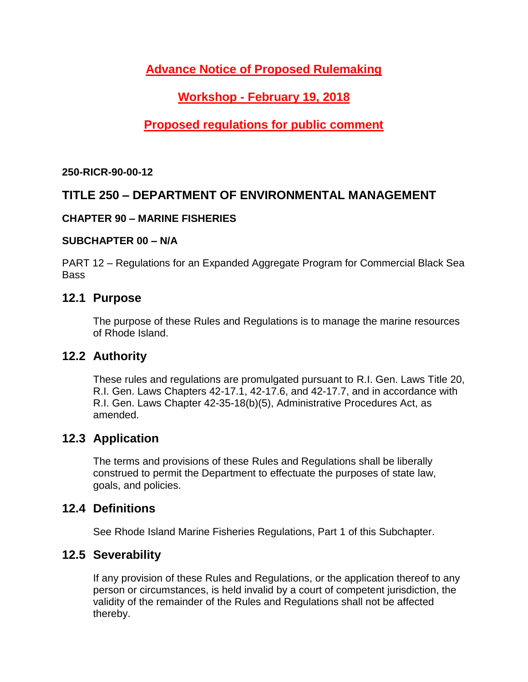# **Advance Notice of Proposed Rulemaking**

# **Workshop - February 19, 2018**

# **Proposed regulations for public comment**

**250-RICR-90-00-12**

# **TITLE 250 – DEPARTMENT OF ENVIRONMENTAL MANAGEMENT**

### **CHAPTER 90 – MARINE FISHERIES**

### **SUBCHAPTER 00 – N/A**

PART 12 – Regulations for an Expanded Aggregate Program for Commercial Black Sea Bass

### **12.1 Purpose**

The purpose of these Rules and Regulations is to manage the marine resources of Rhode Island.

## **12.2 Authority**

These rules and regulations are promulgated pursuant to R.I. Gen. Laws Title 20, R.I. Gen. Laws Chapters 42-17.1, 42-17.6, and 42-17.7, and in accordance with R.I. Gen. Laws Chapter 42-35-18(b)(5), Administrative Procedures Act, as amended.

### **12.3 Application**

The terms and provisions of these Rules and Regulations shall be liberally construed to permit the Department to effectuate the purposes of state law, goals, and policies.

### **12.4 Definitions**

See Rhode Island Marine Fisheries Regulations, Part 1 of this Subchapter.

## **12.5 Severability**

If any provision of these Rules and Regulations, or the application thereof to any person or circumstances, is held invalid by a court of competent jurisdiction, the validity of the remainder of the Rules and Regulations shall not be affected thereby.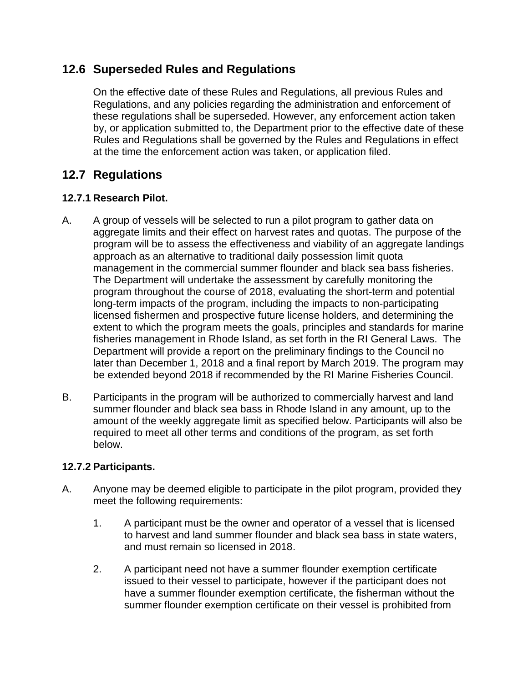## **12.6 Superseded Rules and Regulations**

On the effective date of these Rules and Regulations, all previous Rules and Regulations, and any policies regarding the administration and enforcement of these regulations shall be superseded. However, any enforcement action taken by, or application submitted to, the Department prior to the effective date of these Rules and Regulations shall be governed by the Rules and Regulations in effect at the time the enforcement action was taken, or application filed.

# **12.7 Regulations**

### **12.7.1 Research Pilot.**

- A. A group of vessels will be selected to run a pilot program to gather data on aggregate limits and their effect on harvest rates and quotas. The purpose of the program will be to assess the effectiveness and viability of an aggregate landings approach as an alternative to traditional daily possession limit quota management in the commercial summer flounder and black sea bass fisheries. The Department will undertake the assessment by carefully monitoring the program throughout the course of 2018, evaluating the short-term and potential long-term impacts of the program, including the impacts to non-participating licensed fishermen and prospective future license holders, and determining the extent to which the program meets the goals, principles and standards for marine fisheries management in Rhode Island, as set forth in the RI General Laws. The Department will provide a report on the preliminary findings to the Council no later than December 1, 2018 and a final report by March 2019. The program may be extended beyond 2018 if recommended by the RI Marine Fisheries Council.
- B. Participants in the program will be authorized to commercially harvest and land summer flounder and black sea bass in Rhode Island in any amount, up to the amount of the weekly aggregate limit as specified below. Participants will also be required to meet all other terms and conditions of the program, as set forth below.

### **12.7.2 Participants.**

- A. Anyone may be deemed eligible to participate in the pilot program, provided they meet the following requirements:
	- 1. A participant must be the owner and operator of a vessel that is licensed to harvest and land summer flounder and black sea bass in state waters, and must remain so licensed in 2018.
	- 2. A participant need not have a summer flounder exemption certificate issued to their vessel to participate, however if the participant does not have a summer flounder exemption certificate, the fisherman without the summer flounder exemption certificate on their vessel is prohibited from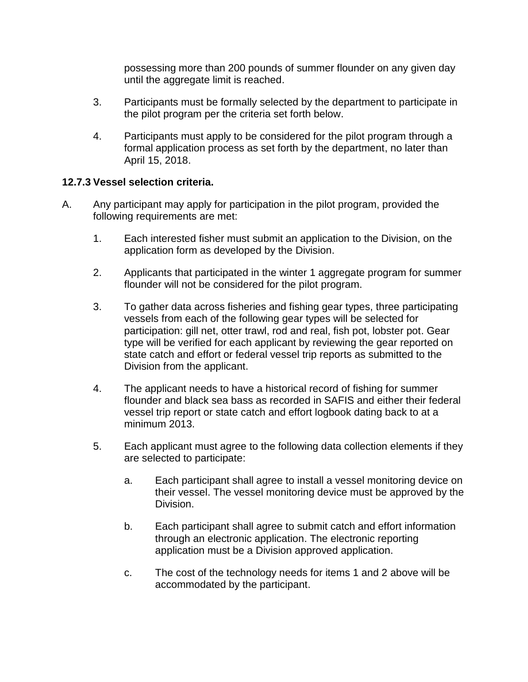possessing more than 200 pounds of summer flounder on any given day until the aggregate limit is reached.

- 3. Participants must be formally selected by the department to participate in the pilot program per the criteria set forth below.
- 4. Participants must apply to be considered for the pilot program through a formal application process as set forth by the department, no later than April 15, 2018.

#### **12.7.3 Vessel selection criteria.**

- A. Any participant may apply for participation in the pilot program, provided the following requirements are met:
	- 1. Each interested fisher must submit an application to the Division, on the application form as developed by the Division.
	- 2. Applicants that participated in the winter 1 aggregate program for summer flounder will not be considered for the pilot program.
	- 3. To gather data across fisheries and fishing gear types, three participating vessels from each of the following gear types will be selected for participation: gill net, otter trawl, rod and real, fish pot, lobster pot. Gear type will be verified for each applicant by reviewing the gear reported on state catch and effort or federal vessel trip reports as submitted to the Division from the applicant.
	- 4. The applicant needs to have a historical record of fishing for summer flounder and black sea bass as recorded in SAFIS and either their federal vessel trip report or state catch and effort logbook dating back to at a minimum 2013.
	- 5. Each applicant must agree to the following data collection elements if they are selected to participate:
		- a. Each participant shall agree to install a vessel monitoring device on their vessel. The vessel monitoring device must be approved by the Division.
		- b. Each participant shall agree to submit catch and effort information through an electronic application. The electronic reporting application must be a Division approved application.
		- c. The cost of the technology needs for items 1 and 2 above will be accommodated by the participant.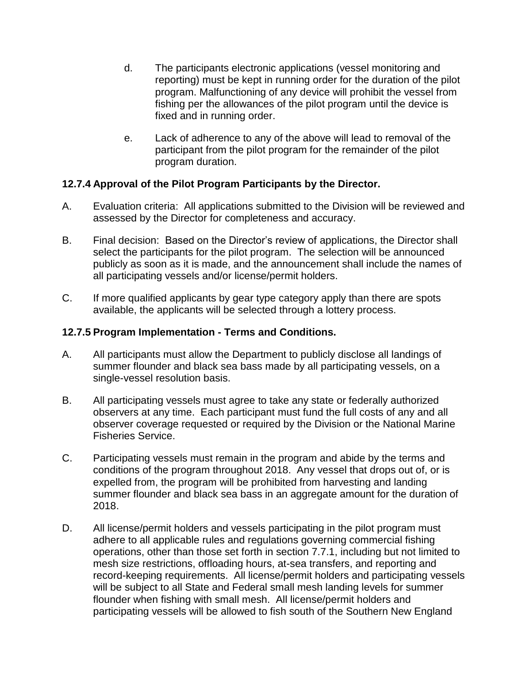- d. The participants electronic applications (vessel monitoring and reporting) must be kept in running order for the duration of the pilot program. Malfunctioning of any device will prohibit the vessel from fishing per the allowances of the pilot program until the device is fixed and in running order.
- e. Lack of adherence to any of the above will lead to removal of the participant from the pilot program for the remainder of the pilot program duration.

#### **12.7.4 Approval of the Pilot Program Participants by the Director.**

- A. Evaluation criteria: All applications submitted to the Division will be reviewed and assessed by the Director for completeness and accuracy.
- B. Final decision: Based on the Director's review of applications, the Director shall select the participants for the pilot program. The selection will be announced publicly as soon as it is made, and the announcement shall include the names of all participating vessels and/or license/permit holders.
- C. If more qualified applicants by gear type category apply than there are spots available, the applicants will be selected through a lottery process.

#### **12.7.5 Program Implementation - Terms and Conditions.**

- A. All participants must allow the Department to publicly disclose all landings of summer flounder and black sea bass made by all participating vessels, on a single-vessel resolution basis.
- B. All participating vessels must agree to take any state or federally authorized observers at any time. Each participant must fund the full costs of any and all observer coverage requested or required by the Division or the National Marine Fisheries Service.
- C. Participating vessels must remain in the program and abide by the terms and conditions of the program throughout 2018. Any vessel that drops out of, or is expelled from, the program will be prohibited from harvesting and landing summer flounder and black sea bass in an aggregate amount for the duration of 2018.
- D. All license/permit holders and vessels participating in the pilot program must adhere to all applicable rules and regulations governing commercial fishing operations, other than those set forth in section 7.7.1, including but not limited to mesh size restrictions, offloading hours, at-sea transfers, and reporting and record-keeping requirements. All license/permit holders and participating vessels will be subject to all State and Federal small mesh landing levels for summer flounder when fishing with small mesh. All license/permit holders and participating vessels will be allowed to fish south of the Southern New England